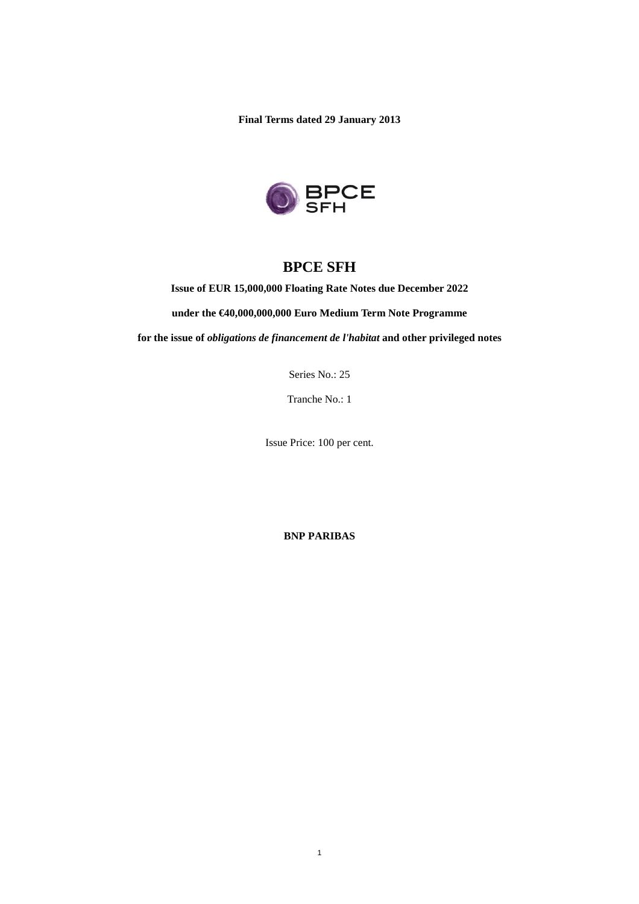**Final Terms dated 29 January 2013** 



# **BPCE SFH**

**Issue of EUR 15,000,000 Floating Rate Notes due December 2022** 

**under the €40,000,000,000 Euro Medium Term Note Programme** 

**for the issue of** *obligations de financement de l'habitat* **and other privileged notes** 

Series No.: 25

Tranche No.: 1

Issue Price: 100 per cent.

**BNP PARIBAS**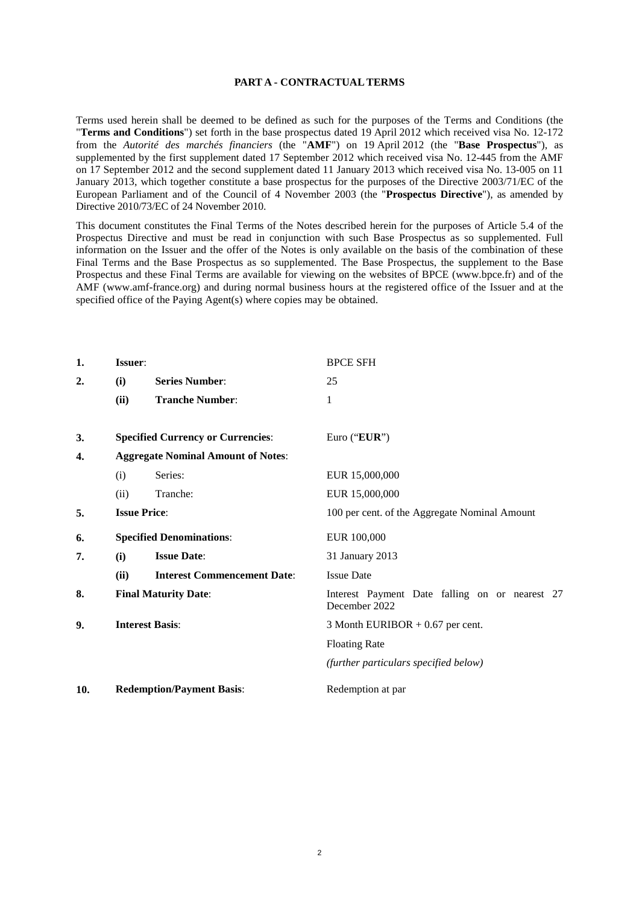#### **PART A - CONTRACTUAL TERMS**

Terms used herein shall be deemed to be defined as such for the purposes of the Terms and Conditions (the "**Terms and Conditions**") set forth in the base prospectus dated 19 April 2012 which received visa No. 12-172 from the *Autorité des marchés financiers* (the "**AMF**") on 19 April 2012 (the "**Base Prospectus**"), as supplemented by the first supplement dated 17 September 2012 which received visa No. 12-445 from the AMF on 17 September 2012 and the second supplement dated 11 January 2013 which received visa No. 13-005 on 11 January 2013, which together constitute a base prospectus for the purposes of the Directive 2003/71/EC of the European Parliament and of the Council of 4 November 2003 (the "**Prospectus Directive**"), as amended by Directive 2010/73/EC of 24 November 2010.

This document constitutes the Final Terms of the Notes described herein for the purposes of Article 5.4 of the Prospectus Directive and must be read in conjunction with such Base Prospectus as so supplemented. Full information on the Issuer and the offer of the Notes is only available on the basis of the combination of these Final Terms and the Base Prospectus as so supplemented. The Base Prospectus, the supplement to the Base Prospectus and these Final Terms are available for viewing on the websites of BPCE (www.bpce.fr) and of the AMF (www.amf-france.org) and during normal business hours at the registered office of the Issuer and at the specified office of the Paying Agent(s) where copies may be obtained.

| 1.  | Issuer:                     |                                           | <b>BPCE SFH</b>                                                 |  |
|-----|-----------------------------|-------------------------------------------|-----------------------------------------------------------------|--|
| 2.  | (i)                         | <b>Series Number:</b>                     | 25                                                              |  |
|     | (ii)                        | <b>Tranche Number:</b>                    | 1                                                               |  |
| 3.  |                             | <b>Specified Currency or Currencies:</b>  | Euro ("EUR")                                                    |  |
| 4.  |                             | <b>Aggregate Nominal Amount of Notes:</b> |                                                                 |  |
|     | (i)                         | Series:                                   | EUR 15,000,000                                                  |  |
|     | (ii)                        | Tranche:                                  | EUR 15,000,000                                                  |  |
| 5.  |                             | <b>Issue Price:</b>                       | 100 per cent. of the Aggregate Nominal Amount                   |  |
| 6.  |                             | <b>Specified Denominations:</b>           | EUR 100,000                                                     |  |
| 7.  | (i)                         | <b>Issue Date:</b>                        | 31 January 2013                                                 |  |
|     | (ii)                        | <b>Interest Commencement Date:</b>        | <b>Issue Date</b>                                               |  |
| 8.  | <b>Final Maturity Date:</b> |                                           | Interest Payment Date falling on or nearest 27<br>December 2022 |  |
| 9.  | <b>Interest Basis:</b>      |                                           | 3 Month EURIBOR $+0.67$ per cent.                               |  |
|     |                             |                                           | <b>Floating Rate</b>                                            |  |
|     |                             |                                           | (further particulars specified below)                           |  |
| 10. |                             | <b>Redemption/Payment Basis:</b>          | Redemption at par                                               |  |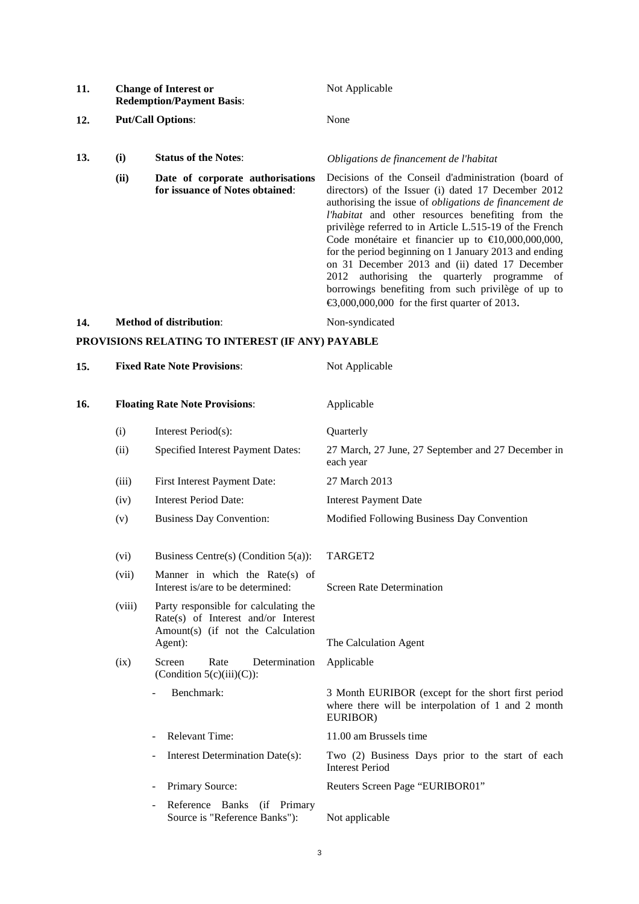| 11.                                              | <b>Change of Interest or</b><br><b>Redemption/Payment Basis:</b><br><b>Put/Call Options:</b> |                                                                     | Not Applicable<br>None                                                                                                                                                                                                                                                                                                                                                                                                                                                                                                                                                                                                                 |  |
|--------------------------------------------------|----------------------------------------------------------------------------------------------|---------------------------------------------------------------------|----------------------------------------------------------------------------------------------------------------------------------------------------------------------------------------------------------------------------------------------------------------------------------------------------------------------------------------------------------------------------------------------------------------------------------------------------------------------------------------------------------------------------------------------------------------------------------------------------------------------------------------|--|
| 12.                                              |                                                                                              |                                                                     |                                                                                                                                                                                                                                                                                                                                                                                                                                                                                                                                                                                                                                        |  |
| 13.                                              | (i)                                                                                          | <b>Status of the Notes:</b>                                         | Obligations de financement de l'habitat                                                                                                                                                                                                                                                                                                                                                                                                                                                                                                                                                                                                |  |
|                                                  | (ii)                                                                                         | Date of corporate authorisations<br>for issuance of Notes obtained: | Decisions of the Conseil d'administration (board of<br>directors) of the Issuer (i) dated 17 December 2012<br>authorising the issue of <i>obligations</i> de financement de<br>l'habitat and other resources benefiting from the<br>privilège referred to in Article L.515-19 of the French<br>Code monétaire et financier up to $\text{\textsterling}10,000,000,000,$<br>for the period beginning on 1 January 2013 and ending<br>on 31 December 2013 and (ii) dated 17 December<br>2012 authorising the quarterly programme of<br>borrowings benefiting from such privilège of up to<br>€3,000,000,000 for the first quarter of 2013 |  |
| 14.                                              | <b>Method of distribution:</b>                                                               |                                                                     | Non-syndicated                                                                                                                                                                                                                                                                                                                                                                                                                                                                                                                                                                                                                         |  |
| PROVISIONS RELATING TO INTEREST (IF ANY) PAYABLE |                                                                                              |                                                                     |                                                                                                                                                                                                                                                                                                                                                                                                                                                                                                                                                                                                                                        |  |
| 15.                                              | <b>Fixed Rate Note Provisions:</b>                                                           |                                                                     | Not Applicable                                                                                                                                                                                                                                                                                                                                                                                                                                                                                                                                                                                                                         |  |

| 16. |        | <b>Floating Rate Note Provisions:</b>                                                                               | Applicable                                                                                                           |
|-----|--------|---------------------------------------------------------------------------------------------------------------------|----------------------------------------------------------------------------------------------------------------------|
|     | (i)    | Interest Period(s):                                                                                                 | Quarterly                                                                                                            |
|     | (ii)   | Specified Interest Payment Dates:                                                                                   | 27 March, 27 June, 27 September and 27 December in<br>each year                                                      |
|     | (iii)  | First Interest Payment Date:                                                                                        | 27 March 2013                                                                                                        |
|     | (iv)   | <b>Interest Period Date:</b>                                                                                        | <b>Interest Payment Date</b>                                                                                         |
|     | (v)    | <b>Business Day Convention:</b>                                                                                     | Modified Following Business Day Convention                                                                           |
|     | (vi)   | Business Centre(s) (Condition $5(a)$ ):                                                                             | TARGET2                                                                                                              |
|     | (vii)  | Manner in which the Rate(s) of<br>Interest is/are to be determined:                                                 | <b>Screen Rate Determination</b>                                                                                     |
|     | (viii) | Party responsible for calculating the<br>$Rate(s)$ of Interest and/or Interest<br>Amount(s) (if not the Calculation |                                                                                                                      |
|     |        | Agent):                                                                                                             | The Calculation Agent                                                                                                |
|     | (ix)   | Screen<br>Rate<br>Determination<br>(Condition $5(c)(iii)(C)$ ):                                                     | Applicable                                                                                                           |
|     |        | Benchmark:                                                                                                          | 3 Month EURIBOR (except for the short first period<br>where there will be interpolation of 1 and 2 month<br>EURIBOR) |
|     |        | <b>Relevant Time:</b>                                                                                               | 11.00 am Brussels time                                                                                               |
|     |        | Interest Determination Date(s):<br>$\overline{\phantom{a}}$                                                         | Two (2) Business Days prior to the start of each<br><b>Interest Period</b>                                           |
|     |        | Primary Source:<br>$\overline{\phantom{a}}$                                                                         | Reuters Screen Page "EURIBOR01"                                                                                      |
|     |        | Reference Banks<br>(if Primary<br>Source is "Reference Banks"):                                                     | Not applicable                                                                                                       |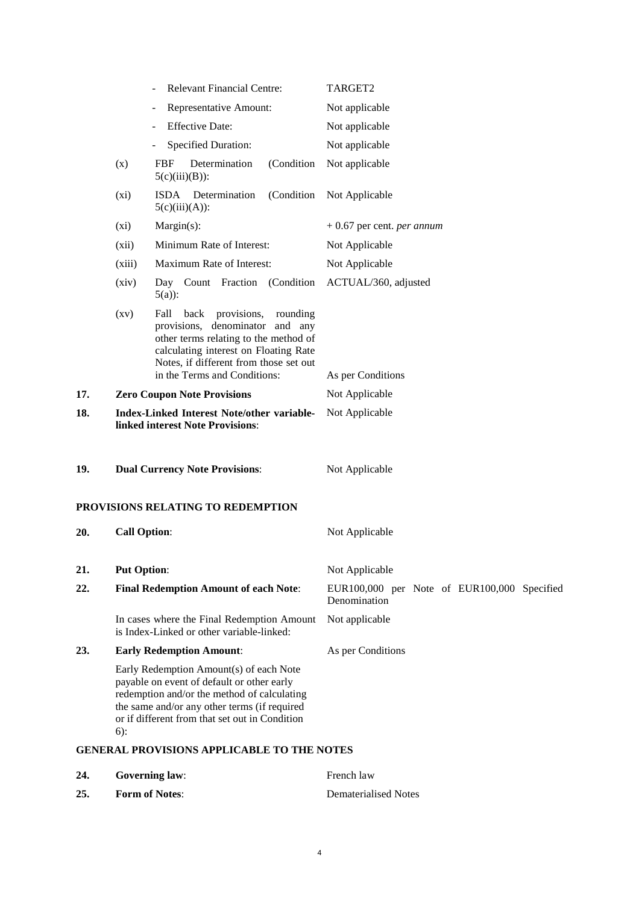|     |                                                                                              | <b>Relevant Financial Centre:</b>                                                                                                                                                                                                      | TARGET2                                                     |
|-----|----------------------------------------------------------------------------------------------|----------------------------------------------------------------------------------------------------------------------------------------------------------------------------------------------------------------------------------------|-------------------------------------------------------------|
|     |                                                                                              | Representative Amount:                                                                                                                                                                                                                 | Not applicable                                              |
|     |                                                                                              | <b>Effective Date:</b>                                                                                                                                                                                                                 | Not applicable                                              |
|     |                                                                                              | <b>Specified Duration:</b>                                                                                                                                                                                                             | Not applicable                                              |
|     | (x)                                                                                          | Determination<br>(Condition)<br><b>FBF</b><br>$5(c)(iii)(B))$ :                                                                                                                                                                        | Not applicable                                              |
|     | $(x_i)$                                                                                      | ISDA Determination<br>(Condition)<br>$5(c)(iii)(A))$ :                                                                                                                                                                                 | Not Applicable                                              |
|     | (xi)                                                                                         | $Margin(s)$ :                                                                                                                                                                                                                          | $+0.67$ per cent. <i>per annum</i>                          |
|     | (xii)                                                                                        | Minimum Rate of Interest:                                                                                                                                                                                                              | Not Applicable                                              |
|     | (xiii)                                                                                       | Maximum Rate of Interest:                                                                                                                                                                                                              | Not Applicable                                              |
|     | (xiv)                                                                                        | Day Count Fraction (Condition<br>$5(a)$ :                                                                                                                                                                                              | ACTUAL/360, adjusted                                        |
|     | (xy)                                                                                         | Fall<br>back<br>provisions,<br>rounding<br>provisions, denominator and any<br>other terms relating to the method of<br>calculating interest on Floating Rate<br>Notes, if different from those set out<br>in the Terms and Conditions: | As per Conditions                                           |
| 17. | <b>Zero Coupon Note Provisions</b>                                                           |                                                                                                                                                                                                                                        | Not Applicable                                              |
| 18. | <b>Index-Linked Interest Note/other variable-</b><br><b>linked interest Note Provisions:</b> |                                                                                                                                                                                                                                        | Not Applicable                                              |
| 19. | <b>Dual Currency Note Provisions:</b>                                                        |                                                                                                                                                                                                                                        | Not Applicable                                              |
|     |                                                                                              | PROVISIONS RELATING TO REDEMPTION                                                                                                                                                                                                      |                                                             |
| 20. | <b>Call Option:</b>                                                                          |                                                                                                                                                                                                                                        | Not Applicable                                              |
| 21. | <b>Put Option:</b>                                                                           |                                                                                                                                                                                                                                        | Not Applicable                                              |
| 22. |                                                                                              | <b>Final Redemption Amount of each Note:</b>                                                                                                                                                                                           | EUR100,000 per Note of EUR100,000 Specified<br>Denomination |
|     |                                                                                              | In cases where the Final Redemption Amount<br>is Index-Linked or other variable-linked:                                                                                                                                                | Not applicable                                              |
| 23. |                                                                                              | <b>Early Redemption Amount:</b>                                                                                                                                                                                                        | As per Conditions                                           |
|     | $6)$ :                                                                                       | Early Redemption Amount(s) of each Note<br>payable on event of default or other early<br>redemption and/or the method of calculating<br>the same and/or any other terms (if required<br>or if different from that set out in Condition |                                                             |
|     |                                                                                              | <b>GENERAL PROVISIONS APPLICABLE TO THE NOTES</b>                                                                                                                                                                                      |                                                             |
|     |                                                                                              |                                                                                                                                                                                                                                        |                                                             |

**25. Form of Notes**: Dematerialised Notes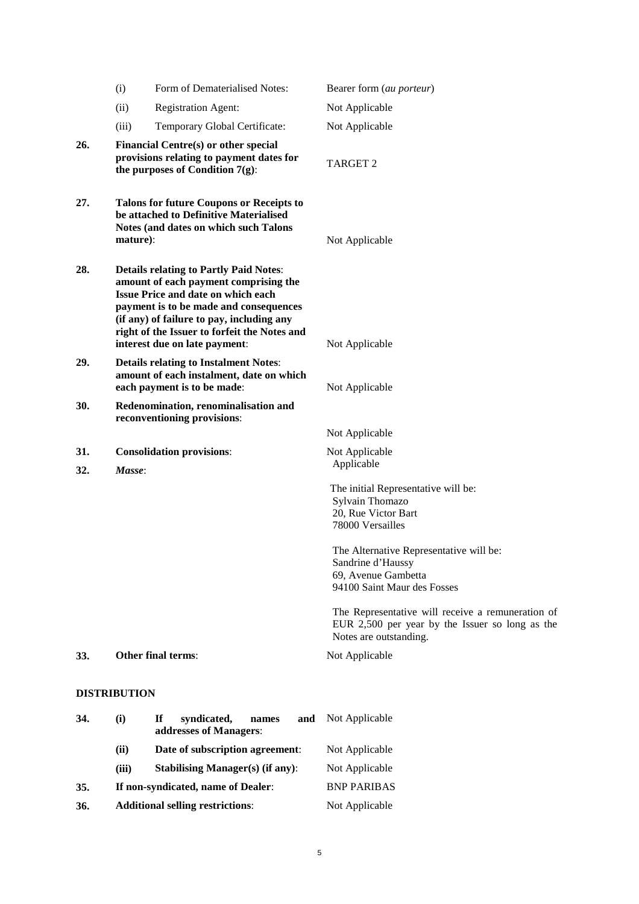|     | (i)                                                                                                                                            | Form of Dematerialised Notes:                                                                                                                                                                                                                                                                               | Bearer form (au porteur)                                                                                                                                          |
|-----|------------------------------------------------------------------------------------------------------------------------------------------------|-------------------------------------------------------------------------------------------------------------------------------------------------------------------------------------------------------------------------------------------------------------------------------------------------------------|-------------------------------------------------------------------------------------------------------------------------------------------------------------------|
|     |                                                                                                                                                |                                                                                                                                                                                                                                                                                                             |                                                                                                                                                                   |
|     | (ii)                                                                                                                                           | <b>Registration Agent:</b>                                                                                                                                                                                                                                                                                  | Not Applicable                                                                                                                                                    |
|     | (iii)                                                                                                                                          | Temporary Global Certificate:                                                                                                                                                                                                                                                                               | Not Applicable                                                                                                                                                    |
| 26. |                                                                                                                                                | Financial Centre(s) or other special<br>provisions relating to payment dates for<br>the purposes of Condition $7(g)$ :                                                                                                                                                                                      | <b>TARGET 2</b>                                                                                                                                                   |
| 27. | <b>Talons for future Coupons or Receipts to</b><br>be attached to Definitive Materialised<br>Notes (and dates on which such Talons<br>mature): |                                                                                                                                                                                                                                                                                                             | Not Applicable                                                                                                                                                    |
| 28. |                                                                                                                                                | <b>Details relating to Partly Paid Notes:</b><br>amount of each payment comprising the<br><b>Issue Price and date on which each</b><br>payment is to be made and consequences<br>(if any) of failure to pay, including any<br>right of the Issuer to forfeit the Notes and<br>interest due on late payment: | Not Applicable                                                                                                                                                    |
| 29. |                                                                                                                                                | <b>Details relating to Instalment Notes:</b><br>amount of each instalment, date on which<br>each payment is to be made:                                                                                                                                                                                     | Not Applicable                                                                                                                                                    |
| 30. |                                                                                                                                                | Redenomination, renominalisation and<br>reconventioning provisions:                                                                                                                                                                                                                                         |                                                                                                                                                                   |
|     |                                                                                                                                                |                                                                                                                                                                                                                                                                                                             | Not Applicable                                                                                                                                                    |
| 31. |                                                                                                                                                | <b>Consolidation provisions:</b>                                                                                                                                                                                                                                                                            | Not Applicable                                                                                                                                                    |
| 32. | Masse:                                                                                                                                         |                                                                                                                                                                                                                                                                                                             | Applicable                                                                                                                                                        |
|     |                                                                                                                                                |                                                                                                                                                                                                                                                                                                             | The initial Representative will be:<br>Sylvain Thomazo<br>20, Rue Victor Bart<br>78000 Versailles<br>The Alternative Representative will be:<br>Sandrine d'Haussy |
|     |                                                                                                                                                |                                                                                                                                                                                                                                                                                                             | 69, Avenue Gambetta<br>94100 Saint Maur des Fosses                                                                                                                |
|     |                                                                                                                                                |                                                                                                                                                                                                                                                                                                             | The Representative will receive a remuneration of<br>EUR 2,500 per year by the Issuer so long as the<br>Notes are outstanding.                                    |
| 33. |                                                                                                                                                | Other final terms:                                                                                                                                                                                                                                                                                          | Not Applicable                                                                                                                                                    |
|     | <b>DISTRIBUTION</b>                                                                                                                            |                                                                                                                                                                                                                                                                                                             |                                                                                                                                                                   |
| 34. | (i)                                                                                                                                            | If<br>syndicated,<br>names<br>and<br>addresses of Managers:                                                                                                                                                                                                                                                 | Not Applicable                                                                                                                                                    |
|     | (ii)                                                                                                                                           | Date of subscription agreement:                                                                                                                                                                                                                                                                             | Not Applicable                                                                                                                                                    |
|     | (iii)                                                                                                                                          | <b>Stabilising Manager(s) (if any):</b>                                                                                                                                                                                                                                                                     | Not Applicable                                                                                                                                                    |
| 35. |                                                                                                                                                | If non-syndicated, name of Dealer:                                                                                                                                                                                                                                                                          | <b>BNP PARIBAS</b>                                                                                                                                                |

**36. Additional selling restrictions**: Not Applicable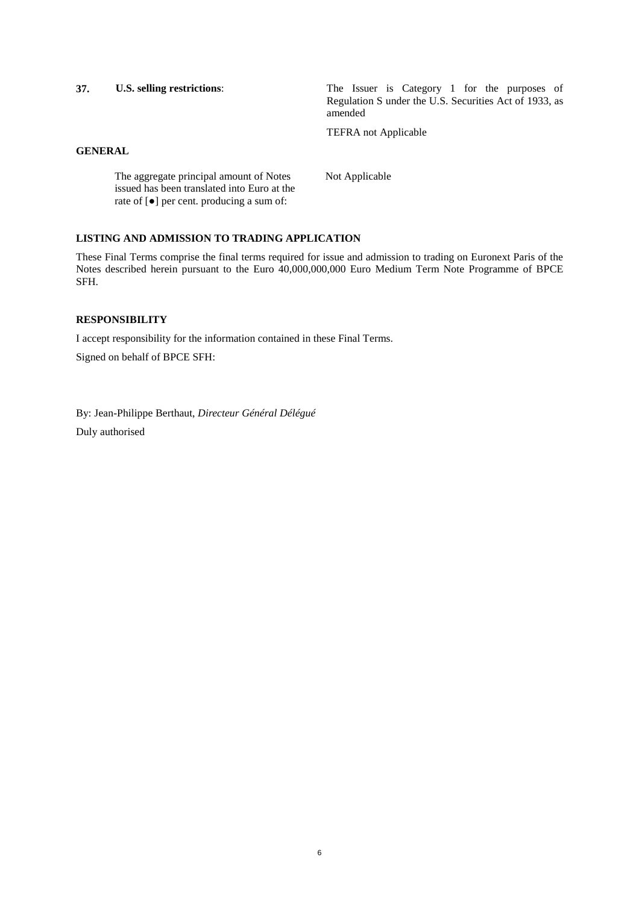**37. U.S. selling restrictions**: The Issuer is Category 1 for the purposes of Regulation S under the U.S. Securities Act of 1933, as amended

TEFRA not Applicable

# **GENERAL**

The aggregate principal amount of Notes issued has been translated into Euro at the rate of [●] per cent. producing a sum of: Not Applicable

### **LISTING AND ADMISSION TO TRADING APPLICATION**

These Final Terms comprise the final terms required for issue and admission to trading on Euronext Paris of the Notes described herein pursuant to the Euro 40,000,000,000 Euro Medium Term Note Programme of BPCE SFH.

### **RESPONSIBILITY**

I accept responsibility for the information contained in these Final Terms.

Signed on behalf of BPCE SFH:

By: Jean-Philippe Berthaut, *Directeur Général Délégué* Duly authorised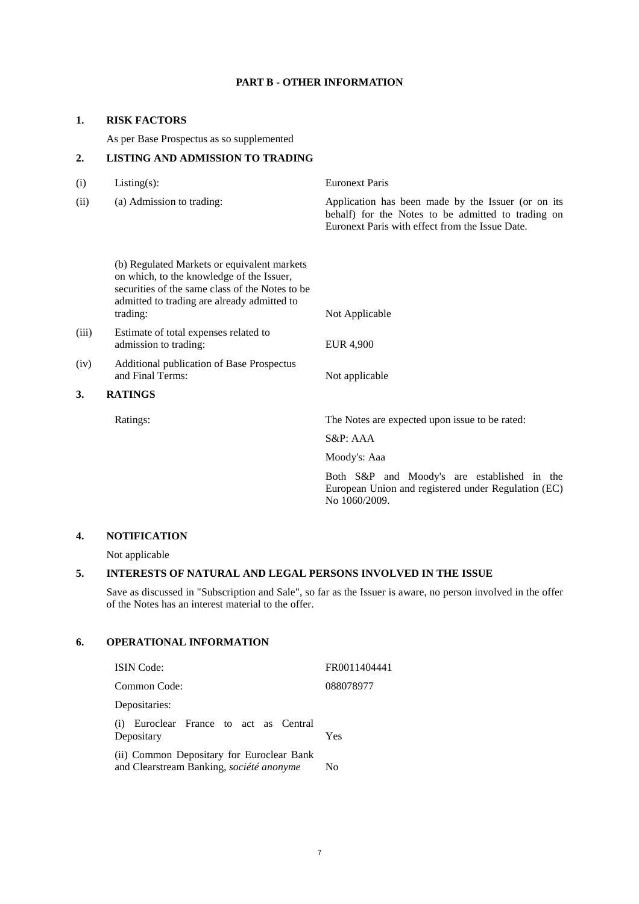## **PART B - OTHER INFORMATION**

### **1. RISK FACTORS**

As per Base Prospectus as so supplemented

# **2. LISTING AND ADMISSION TO TRADING**

(i) Listing(s): Euronext Paris (ii) (a) Admission to trading: Application has been made by the Issuer (or on its behalf) for the Notes to be admitted to trading on Euronext Paris with effect from the Issue Date.

(b) Regulated Markets or equivalent markets on which, to the knowledge of the Issuer, securities of the same class of the Notes to be admitted to trading are already admitted to trading: Not Applicable

- (iii) Estimate of total expenses related to admission to trading: EUR 4,900
- (iv) Additional publication of Base Prospectus and Final Terms: Not applicable

# **3. RATINGS**

Ratings: The Notes are expected upon issue to be rated:

S&P: AAA

Moody's: Aaa

Both S&P and Moody's are established in the European Union and registered under Regulation (EC) No 1060/2009.

# **4. NOTIFICATION**

Not applicable

# **5. INTERESTS OF NATURAL AND LEGAL PERSONS INVOLVED IN THE ISSUE**

Save as discussed in "Subscription and Sale", so far as the Issuer is aware, no person involved in the offer of the Notes has an interest material to the offer.

# **6. OPERATIONAL INFORMATION**

| <b>ISIN</b> Code:                                                                     | FR0011404441 |
|---------------------------------------------------------------------------------------|--------------|
| Common Code:                                                                          | 088078977    |
| Depositaries:                                                                         |              |
| (i) Euroclear France to act as Central<br>Depositary                                  | Yes          |
| (ii) Common Depositary for Euroclear Bank<br>and Clearstream Banking, société anonyme | No           |